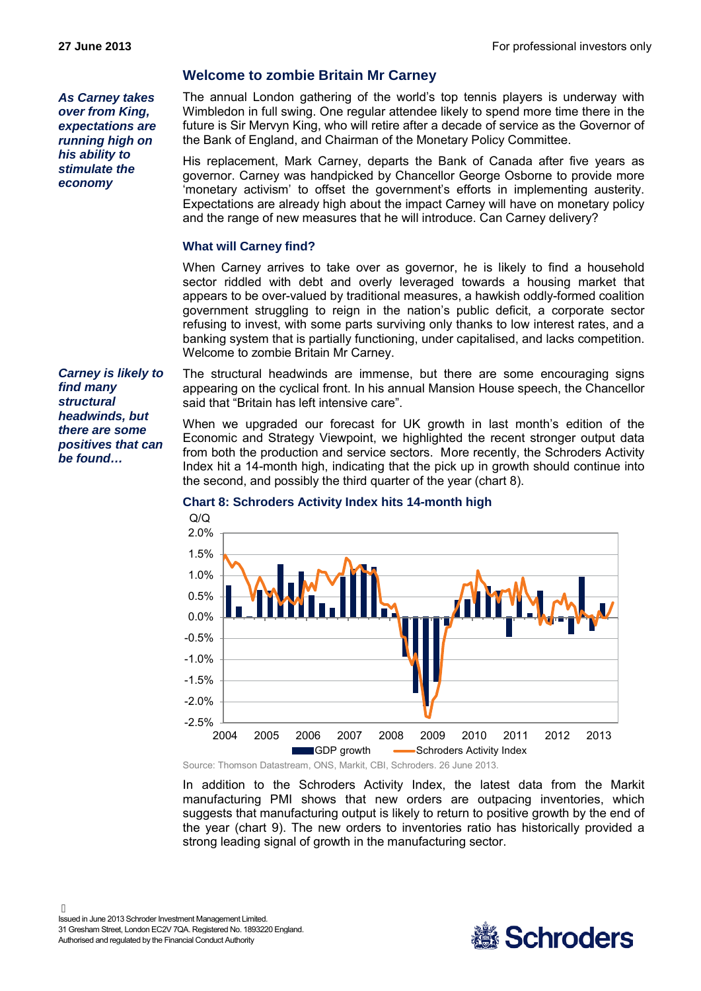*As Carney takes over from King, expectations are running high on his ability to stimulate the economy*

# **Welcome to zombie Britain Mr Carney**

The annual London gathering of the world's top tennis players is underway with Wimbledon in full swing. One regular attendee likely to spend more time there in the future is Sir Mervyn King, who will retire after a decade of service as the Governor of the Bank of England, and Chairman of the Monetary Policy Committee.

His replacement, Mark Carney, departs the Bank of Canada after five years as governor. Carney was handpicked by Chancellor George Osborne to provide more 'monetary activism' to offset the government's efforts in implementing austerity. Expectations are already high about the impact Carney will have on monetary policy and the range of new measures that he will introduce. Can Carney delivery?

# **What will Carney find?**

When Carney arrives to take over as governor, he is likely to find a household sector riddled with debt and overly leveraged towards a housing market that appears to be over-valued by traditional measures, a hawkish oddly-formed coalition government struggling to reign in the nation's public deficit, a corporate sector refusing to invest, with some parts surviving only thanks to low interest rates, and a banking system that is partially functioning, under capitalised, and lacks competition. Welcome to zombie Britain Mr Carney.

The structural headwinds are immense, but there are some encouraging signs appearing on the cyclical front. In his annual Mansion House speech, the Chancellor said that "Britain has left intensive care".

When we upgraded our forecast for UK growth in last month's edition of the Economic and Strategy Viewpoint, we highlighted the recent stronger output data from both the production and service sectors. More recently, the Schroders Activity Index hit a 14-month high, indicating that the pick up in growth should continue into the second, and possibly the third quarter of the year (chart 8).

# **Chart 8: Schroders Activity Index hits 14-month high**



In addition to the Schroders Activity Index, the latest data from the Markit manufacturing PMI shows that new orders are outpacing inventories, which suggests that manufacturing output is likely to return to positive growth by the end of the year (chart 9). The new orders to inventories ratio has historically provided a strong leading signal of growth in the manufacturing sector.



*Carney is likely to find many structural headwinds, but there are some positives that can be found…*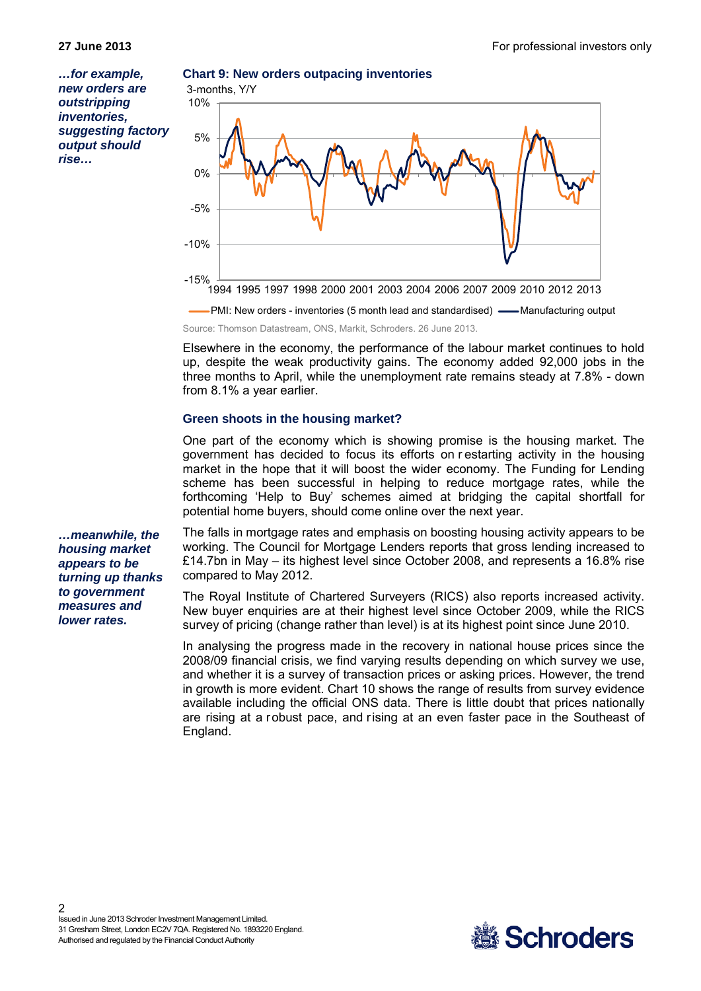*…for example, new orders are outstripping inventories, suggesting factory output should rise…*

# **Chart 9: New orders outpacing inventories**



**PMI: New orders - inventories (5 month lead and standardised) <b>-** Manufacturing output Source: Thomson Datastream, ONS, Markit, Schroders. 26 June 2013.

Elsewhere in the economy, the performance of the labour market continues to hold up, despite the weak productivity gains. The economy added 92,000 jobs in the three months to April, while the unemployment rate remains steady at 7.8% - down from 8.1% a year earlier.

### **Green shoots in the housing market?**

One part of the economy which is showing promise is the housing market. The government has decided to focus its efforts on r estarting activity in the housing market in the hope that it will boost the wider economy. The Funding for Lending scheme has been successful in helping to reduce mortgage rates, while the forthcoming 'Help to Buy' schemes aimed at bridging the capital shortfall for potential home buyers, should come online over the next year.

*…meanwhile, the housing market appears to be turning up thanks to government measures and lower rates.*

The falls in mortgage rates and emphasis on boosting housing activity appears to be working. The Council for Mortgage Lenders reports that gross lending increased to £14.7bn in May – its highest level since October 2008, and represents a 16.8% rise compared to May 2012.

The Royal Institute of Chartered Surveyers (RICS) also reports increased activity. New buyer enquiries are at their highest level since October 2009, while the RICS survey of pricing (change rather than level) is at its highest point since June 2010.

In analysing the progress made in the recovery in national house prices since the 2008/09 financial crisis, we find varying results depending on which survey we use, and whether it is a survey of transaction prices or asking prices. However, the trend in growth is more evident. Chart 10 shows the range of results from survey evidence available including the official ONS data. There is little doubt that prices nationally are rising at a robust pace, and rising at an even faster pace in the Southeast of England.

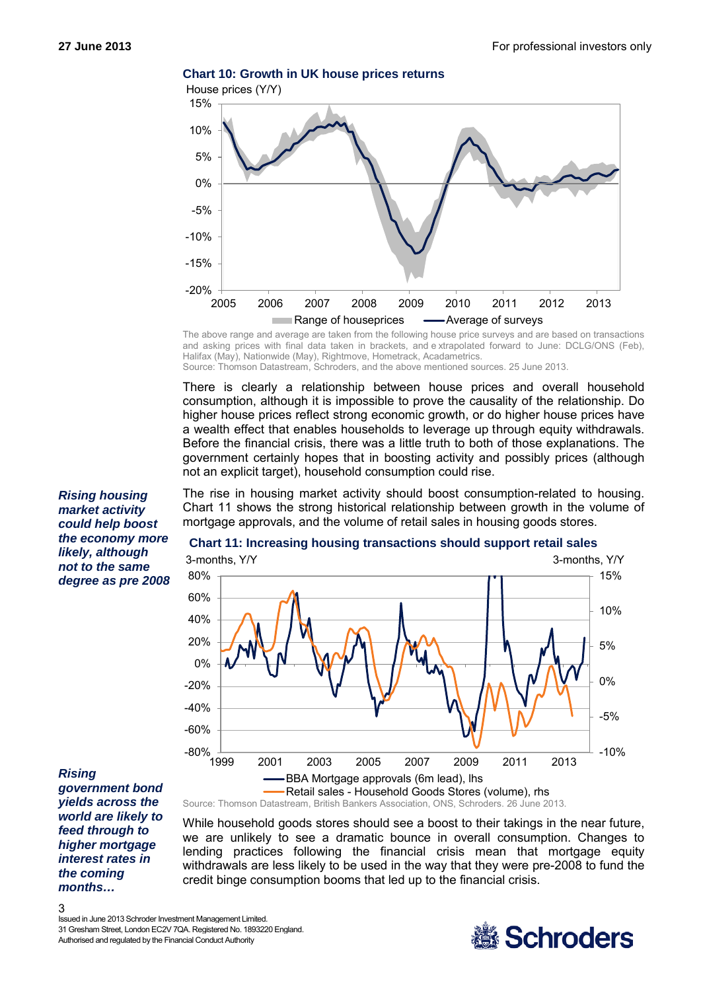

**Chart 10: Growth in UK house prices returns**

The above range and average are taken from the following house price surveys and are based on transactions and asking prices with final data taken in brackets, and e xtrapolated forward to June: DCLG/ONS (Feb), Halifax (May), Nationwide (May), Rightmove, Hometrack, Acadametrics. Source: Thomson Datastream, Schroders, and the above mentioned sources. 25 June 2013.

There is clearly a relationship between house prices and overall household consumption, although it is impossible to prove the causality of the relationship. Do higher house prices reflect strong economic growth, or do higher house prices have a wealth effect that enables households to leverage up through equity withdrawals. Before the financial crisis, there was a little truth to both of those explanations. The government certainly hopes that in boosting activity and possibly prices (although not an explicit target), household consumption could rise.

The rise in housing market activity should boost consumption-related to housing. Chart 11 shows the strong historical relationship between growth in the volume of mortgage approvals, and the volume of retail sales in housing goods stores.

0% 5% 10% 15% -20% 0% 20% 40% 60% 80% 3-months, Y/Y 3-months, Y/Y

#### **Chart 11: Increasing housing transactions should support retail sales**

*Rising* 

3

*government bond yields across the world are likely to feed through to higher mortgage interest rates in the coming months…*

Retail sales - Household Goods Stores (volume), rhs Source: Thomson Datastream, British Bankers Association, ONS, Schroders. 26 June 2013. While household goods stores should see a boost to their takings in the near future, we are unlikely to see a dramatic bounce in overall consumption. Changes to lending practices following the financial crisis mean that mortgage equity withdrawals are less likely to be used in the way that they were pre-2008 to fund the

credit binge consumption booms that led up to the financial crisis.

1999 2001 2003 2005 2007 2009 2011 2013 BBA Mortgage approvals (6m lead), lhs

#### Issued in June 2013 Schroder Investment Management Limited. 31 Gresham Street, London EC2V 7QA. Registered No. 1893220 England. Authorised and regulated by the Financial Conduct Authority

 $-80\%$   $+$ <br>1999

-60% -40%



-10%

-5%

*market activity could help boost the economy more likely, although not to the same degree as pre 2008*

*Rising housing*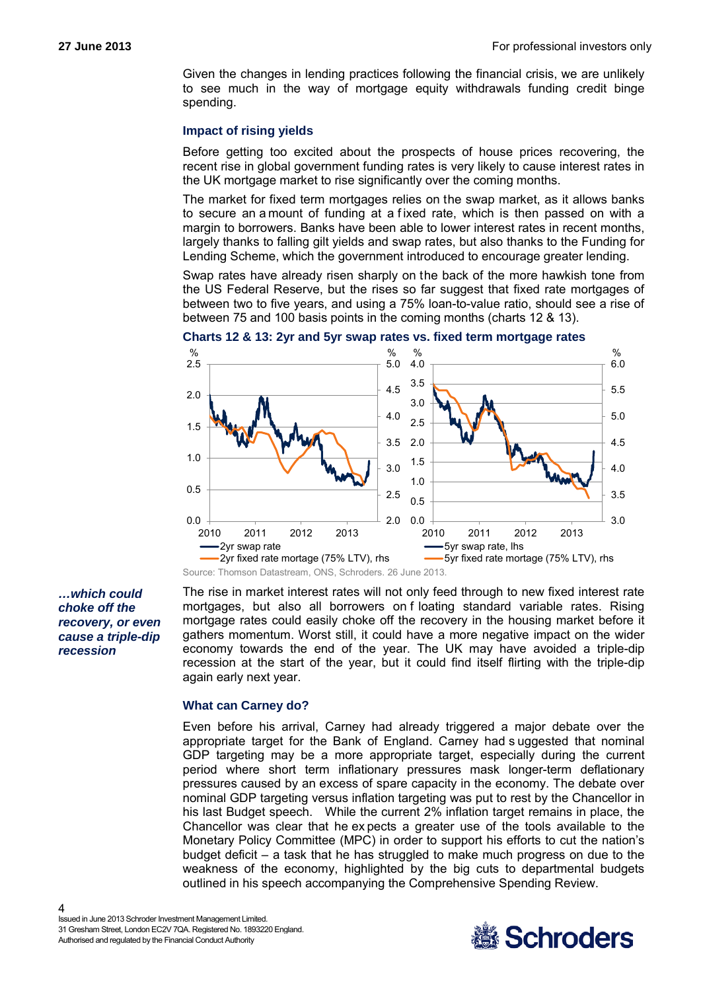Given the changes in lending practices following the financial crisis, we are unlikely to see much in the way of mortgage equity withdrawals funding credit binge spending.

## **Impact of rising yields**

Before getting too excited about the prospects of house prices recovering, the recent rise in global government funding rates is very likely to cause interest rates in the UK mortgage market to rise significantly over the coming months.

The market for fixed term mortgages relies on the swap market, as it allows banks to secure an a mount of funding at a f ixed rate, which is then passed on with a margin to borrowers. Banks have been able to lower interest rates in recent months, largely thanks to falling gilt yields and swap rates, but also thanks to the Funding for Lending Scheme, which the government introduced to encourage greater lending.

Swap rates have already risen sharply on the back of the more hawkish tone from the US Federal Reserve, but the rises so far suggest that fixed rate mortgages of between two to five years, and using a 75% loan-to-value ratio, should see a rise of between 75 and 100 basis points in the coming months (charts 12 & 13).



**Charts 12 & 13: 2yr and 5yr swap rates vs. fixed term mortgage rates**

*…which could choke off the recovery, or even cause a triple-dip recession*

The rise in market interest rates will not only feed through to new fixed interest rate mortgages, but also all borrowers on f loating standard variable rates. Rising mortgage rates could easily choke off the recovery in the housing market before it gathers momentum. Worst still, it could have a more negative impact on the wider economy towards the end of the year. The UK may have avoided a triple-dip recession at the start of the year, but it could find itself flirting with the triple-dip again early next year.

#### **What can Carney do?**

Even before his arrival, Carney had already triggered a major debate over the appropriate target for the Bank of England. Carney had s uggested that nominal GDP targeting may be a more appropriate target, especially during the current period where short term inflationary pressures mask longer-term deflationary pressures caused by an excess of spare capacity in the economy. The debate over nominal GDP targeting versus inflation targeting was put to rest by the Chancellor in his last Budget speech. While the current 2% inflation target remains in place, the Chancellor was clear that he ex pects a greater use of the tools available to the Monetary Policy Committee (MPC) in order to support his efforts to cut the nation's budget deficit – a task that he has struggled to make much progress on due to the weakness of the economy, highlighted by the big cuts to departmental budgets outlined in his speech accompanying the Comprehensive Spending Review.